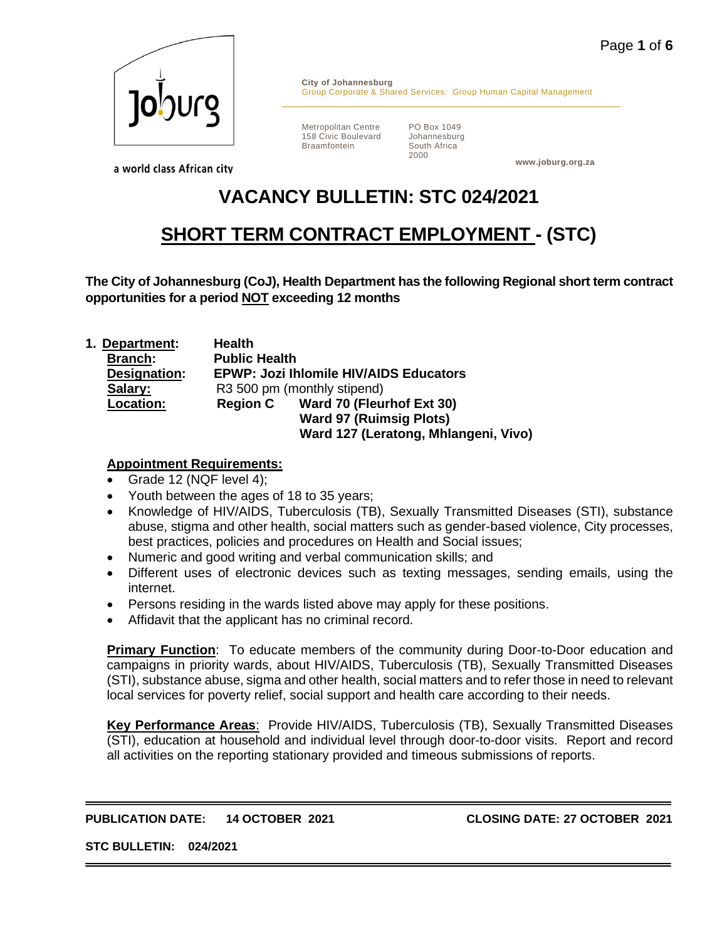

**City of Johannesburg** Group Corporate & Shared Services: Group Human Capital Management

Metropolitan Centre 158 Civic Boulevard Braamfontein

PO Box 1049 Johannesburg South Africa 2000

**www.joburg.org.za**

a world class African city

# **VACANCY BULLETIN: STC 024/2021**

## **SHORT TERM CONTRACT EMPLOYMENT - (STC)**

**The City of Johannesburg (CoJ), Health Department has the following Regional short term contract opportunities for a period NOT exceeding 12 months**

**1. Department: Health Branch: Public Health Designation: EPWP: Jozi Ihlomile HIV/AIDS Educators Salary:** R3 500 pm (monthly stipend) **Location: Region C Ward 70 (Fleurhof Ext 30) Ward 97 (Ruimsig Plots) Ward 127 (Leratong, Mhlangeni, Vivo)**

## **Appointment Requirements:**

- Grade 12 (NQF level 4);
- Youth between the ages of 18 to 35 years;
- Knowledge of HIV/AIDS, Tuberculosis (TB), Sexually Transmitted Diseases (STI), substance abuse, stigma and other health, social matters such as gender-based violence, City processes, best practices, policies and procedures on Health and Social issues;
- Numeric and good writing and verbal communication skills; and
- Different uses of electronic devices such as texting messages, sending emails, using the internet.
- Persons residing in the wards listed above may apply for these positions.
- Affidavit that the applicant has no criminal record.

**Primary Function**: To educate members of the community during Door-to-Door education and campaigns in priority wards, about HIV/AIDS, Tuberculosis (TB), Sexually Transmitted Diseases (STI), substance abuse, sigma and other health, social matters and to refer those in need to relevant local services for poverty relief, social support and health care according to their needs.

**Key Performance Areas**: Provide HIV/AIDS, Tuberculosis (TB), Sexually Transmitted Diseases (STI), education at household and individual level through door-to-door visits. Report and record all activities on the reporting stationary provided and timeous submissions of reports.

#### **PUBLICATION DATE: 14 OCTOBER 2021 CLOSING DATE: 27 OCTOBER 2021**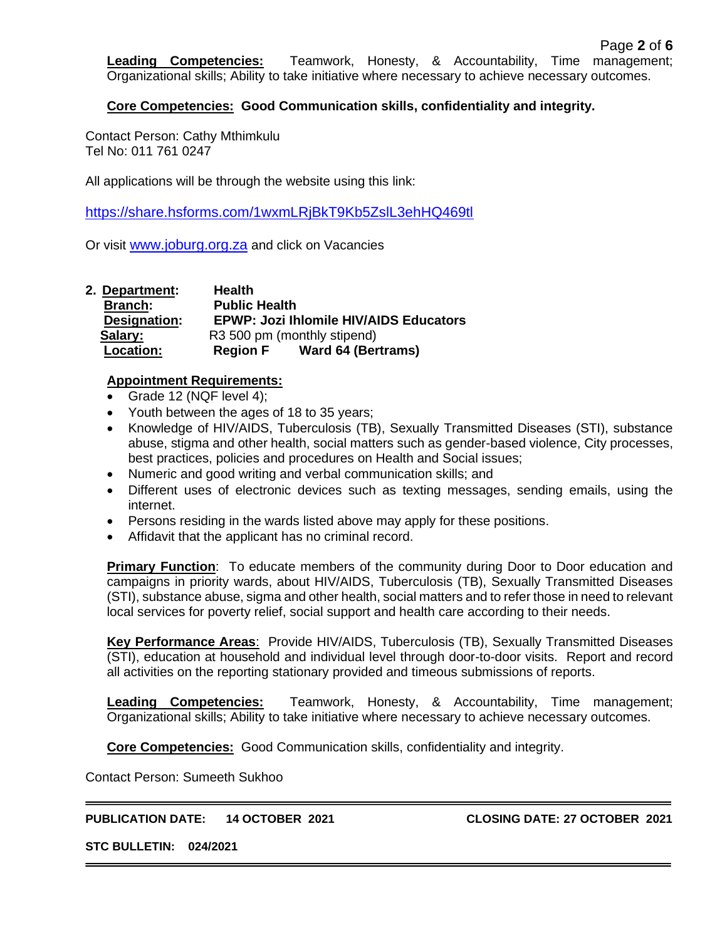**Leading Competencies:** Teamwork, Honesty, & Accountability, Time management; Organizational skills; Ability to take initiative where necessary to achieve necessary outcomes.

#### **Core Competencies: Good Communication skills, confidentiality and integrity.**

Contact Person: Cathy Mthimkulu Tel No: 011 761 0247

All applications will be through the website using this link:

<https://share.hsforms.com/1wxmLRjBkT9Kb5ZslL3ehHQ469tl>

Or visit [www.joburg.org.za](http://www.joburg.org.za/) and click on Vacancies

| 2. Department:   | <b>Health</b>                                 |                           |  |
|------------------|-----------------------------------------------|---------------------------|--|
| <b>Branch:</b>   | <b>Public Health</b>                          |                           |  |
| Designation:     | <b>EPWP: Jozi Ihlomile HIV/AIDS Educators</b> |                           |  |
| Salary:          | R3 500 pm (monthly stipend)                   |                           |  |
| <b>Location:</b> | <b>Region F</b>                               | <b>Ward 64 (Bertrams)</b> |  |

#### **Appointment Requirements:**

- Grade 12 (NQF level 4);
- Youth between the ages of 18 to 35 years;
- Knowledge of HIV/AIDS, Tuberculosis (TB), Sexually Transmitted Diseases (STI), substance abuse, stigma and other health, social matters such as gender-based violence, City processes, best practices, policies and procedures on Health and Social issues;
- Numeric and good writing and verbal communication skills; and
- Different uses of electronic devices such as texting messages, sending emails, using the internet.
- Persons residing in the wards listed above may apply for these positions.
- Affidavit that the applicant has no criminal record.

**Primary Function**: To educate members of the community during Door to Door education and campaigns in priority wards, about HIV/AIDS, Tuberculosis (TB), Sexually Transmitted Diseases (STI), substance abuse, sigma and other health, social matters and to refer those in need to relevant local services for poverty relief, social support and health care according to their needs.

**Key Performance Areas**: Provide HIV/AIDS, Tuberculosis (TB), Sexually Transmitted Diseases (STI), education at household and individual level through door-to-door visits. Report and record all activities on the reporting stationary provided and timeous submissions of reports.

**Leading Competencies:** Teamwork, Honesty, & Accountability, Time management; Organizational skills; Ability to take initiative where necessary to achieve necessary outcomes.

**Core Competencies:** Good Communication skills, confidentiality and integrity.

Contact Person: Sumeeth Sukhoo

#### **PUBLICATION DATE: 14 OCTOBER 2021 CLOSING DATE: 27 OCTOBER 2021**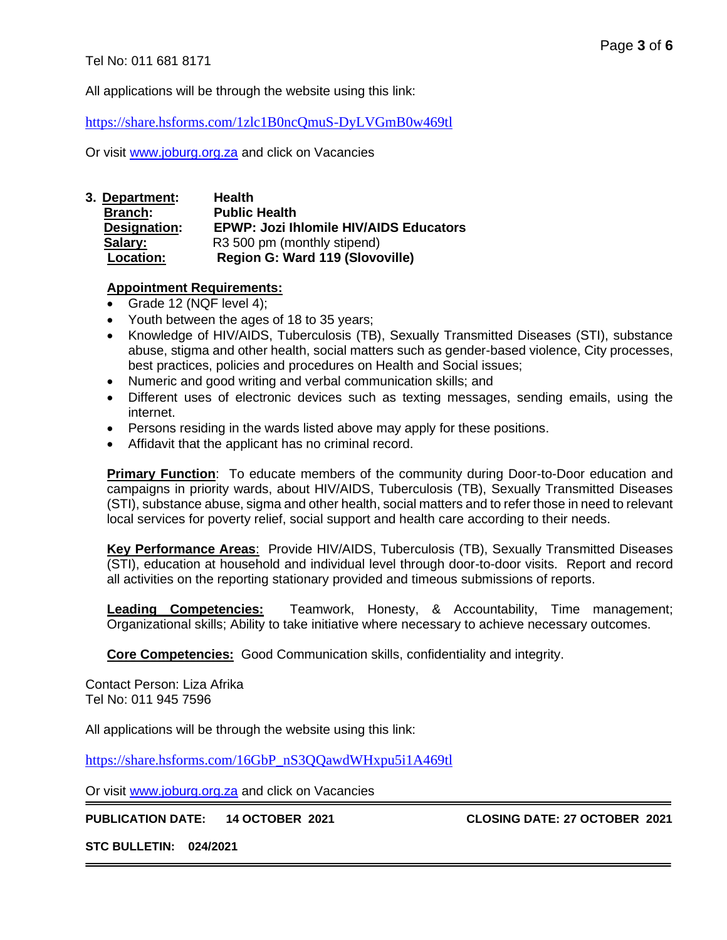Page **3** of **6**

All applications will be through the website using this link:

<https://share.hsforms.com/1zlc1B0ncQmuS-DyLVGmB0w469tl>

Or visit [www.joburg.org.za](http://www.joburg.org.za/) and click on Vacancies

**3. Department: Health Branch: Public Health Designation: EPWP: Jozi Ihlomile HIV/AIDS Educators Salary:** R3 500 pm (monthly stipend) **Location: Region G: Ward 119 (Slovoville)**

#### **Appointment Requirements:**

- Grade 12 (NQF level 4);
- Youth between the ages of 18 to 35 years;
- Knowledge of HIV/AIDS, Tuberculosis (TB), Sexually Transmitted Diseases (STI), substance abuse, stigma and other health, social matters such as gender-based violence, City processes, best practices, policies and procedures on Health and Social issues;
- Numeric and good writing and verbal communication skills; and
- Different uses of electronic devices such as texting messages, sending emails, using the internet.
- Persons residing in the wards listed above may apply for these positions.
- Affidavit that the applicant has no criminal record.

**Primary Function**: To educate members of the community during Door-to-Door education and campaigns in priority wards, about HIV/AIDS, Tuberculosis (TB), Sexually Transmitted Diseases (STI), substance abuse, sigma and other health, social matters and to refer those in need to relevant local services for poverty relief, social support and health care according to their needs.

**Key Performance Areas**: Provide HIV/AIDS, Tuberculosis (TB), Sexually Transmitted Diseases (STI), education at household and individual level through door-to-door visits. Report and record all activities on the reporting stationary provided and timeous submissions of reports.

**Leading Competencies:** Teamwork, Honesty, & Accountability, Time management; Organizational skills; Ability to take initiative where necessary to achieve necessary outcomes.

**Core Competencies:** Good Communication skills, confidentiality and integrity.

Contact Person: Liza Afrika Tel No: 011 945 7596

All applications will be through the website using this link:

[https://share.hsforms.com/16GbP\\_nS3QQawdWHxpu5i1A469tl](https://share.hsforms.com/16GbP_nS3QQawdWHxpu5i1A469tl)

Or visit [www.joburg.org.za](http://www.joburg.org.za/) and click on Vacancies

**PUBLICATION DATE: 14 OCTOBER 2021 CLOSING DATE: 27 OCTOBER 2021**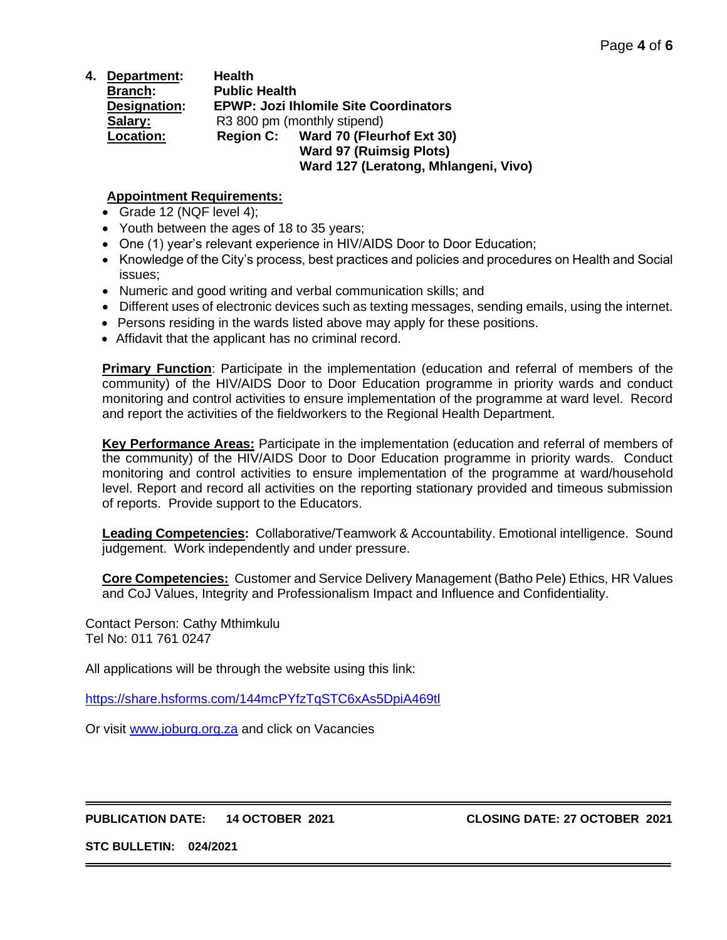**4. Department: Health Branch: Public Health Designation: EPWP: Jozi Ihlomile Site Coordinators** Salary: R3 800 pm (monthly stipend) **Location: Region C: Ward 70 (Fleurhof Ext 30) Ward 97 (Ruimsig Plots) Ward 127 (Leratong, Mhlangeni, Vivo)**

## **Appointment Requirements:**

- Grade 12 (NQF level 4);
- Youth between the ages of 18 to 35 years;
- One (1) year's relevant experience in HIV/AIDS Door to Door Education;
- Knowledge of the City's process, best practices and policies and procedures on Health and Social issues;
- Numeric and good writing and verbal communication skills; and
- Different uses of electronic devices such as texting messages, sending emails, using the internet.
- Persons residing in the wards listed above may apply for these positions.
- Affidavit that the applicant has no criminal record.

**Primary Function**: Participate in the implementation (education and referral of members of the community) of the HIV/AIDS Door to Door Education programme in priority wards and conduct monitoring and control activities to ensure implementation of the programme at ward level. Record and report the activities of the fieldworkers to the Regional Health Department.

**Key Performance Areas:** Participate in the implementation (education and referral of members of the community) of the HIV/AIDS Door to Door Education programme in priority wards. Conduct monitoring and control activities to ensure implementation of the programme at ward/household level. Report and record all activities on the reporting stationary provided and timeous submission of reports. Provide support to the Educators.

**Leading Competencies:** Collaborative/Teamwork & Accountability. Emotional intelligence. Sound judgement. Work independently and under pressure.

**Core Competencies:** Customer and Service Delivery Management (Batho Pele) Ethics, HR Values and CoJ Values, Integrity and Professionalism Impact and Influence and Confidentiality.

Contact Person: Cathy Mthimkulu Tel No: 011 761 0247

All applications will be through the website using this link:

<https://share.hsforms.com/144mcPYfzTqSTC6xAs5DpiA469tl>

Or visit [www.joburg.org.za](http://www.joburg.org.za/) and click on Vacancies

**PUBLICATION DATE: 14 OCTOBER 2021 CLOSING DATE: 27 OCTOBER 2021**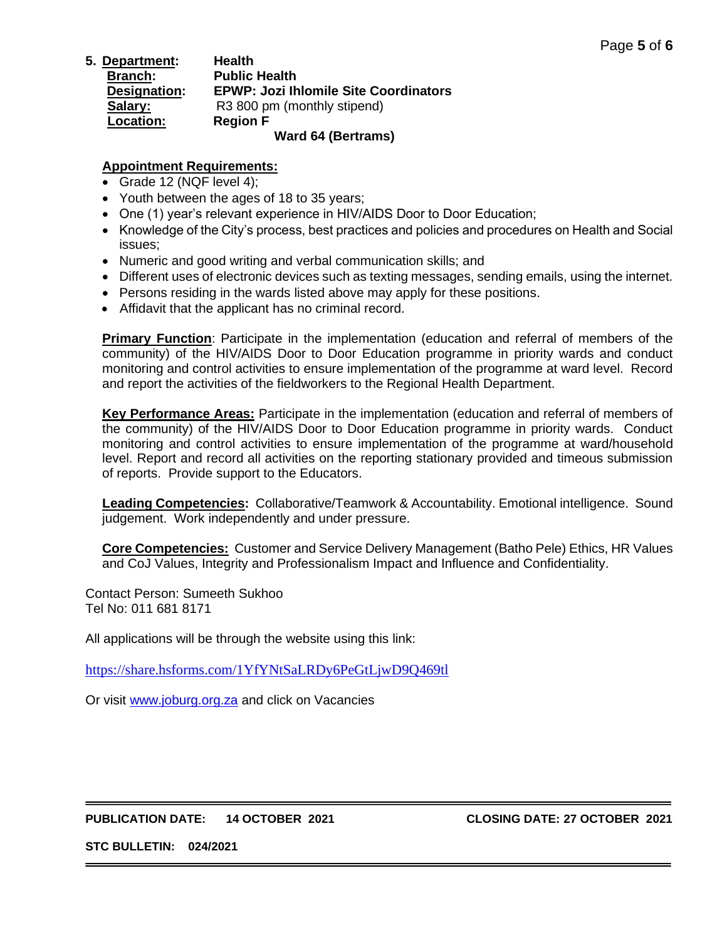**5. Department: Health Branch: Public Health Designation: EPWP: Jozi Ihlomile Site Coordinators Salary:** R3 800 pm (monthly stipend) **Location: Region F Ward 64 (Bertrams)**

## **Appointment Requirements:**

- Grade 12 (NQF level 4);
- Youth between the ages of 18 to 35 years;
- One (1) year's relevant experience in HIV/AIDS Door to Door Education;
- Knowledge of the City's process, best practices and policies and procedures on Health and Social issues;
- Numeric and good writing and verbal communication skills; and
- Different uses of electronic devices such as texting messages, sending emails, using the internet.
- Persons residing in the wards listed above may apply for these positions.
- Affidavit that the applicant has no criminal record.

**Primary Function**: Participate in the implementation (education and referral of members of the community) of the HIV/AIDS Door to Door Education programme in priority wards and conduct monitoring and control activities to ensure implementation of the programme at ward level. Record and report the activities of the fieldworkers to the Regional Health Department.

**Key Performance Areas:** Participate in the implementation (education and referral of members of the community) of the HIV/AIDS Door to Door Education programme in priority wards. Conduct monitoring and control activities to ensure implementation of the programme at ward/household level. Report and record all activities on the reporting stationary provided and timeous submission of reports. Provide support to the Educators.

**Leading Competencies:** Collaborative/Teamwork & Accountability. Emotional intelligence. Sound judgement. Work independently and under pressure.

**Core Competencies:** Customer and Service Delivery Management (Batho Pele) Ethics, HR Values and CoJ Values, Integrity and Professionalism Impact and Influence and Confidentiality.

Contact Person: Sumeeth Sukhoo Tel No: 011 681 8171

All applications will be through the website using this link:

<https://share.hsforms.com/1YfYNtSaLRDy6PeGtLjwD9Q469tl>

Or visit [www.joburg.org.za](http://www.joburg.org.za/) and click on Vacancies

#### **PUBLICATION DATE: 14 OCTOBER 2021 CLOSING DATE: 27 OCTOBER 2021**